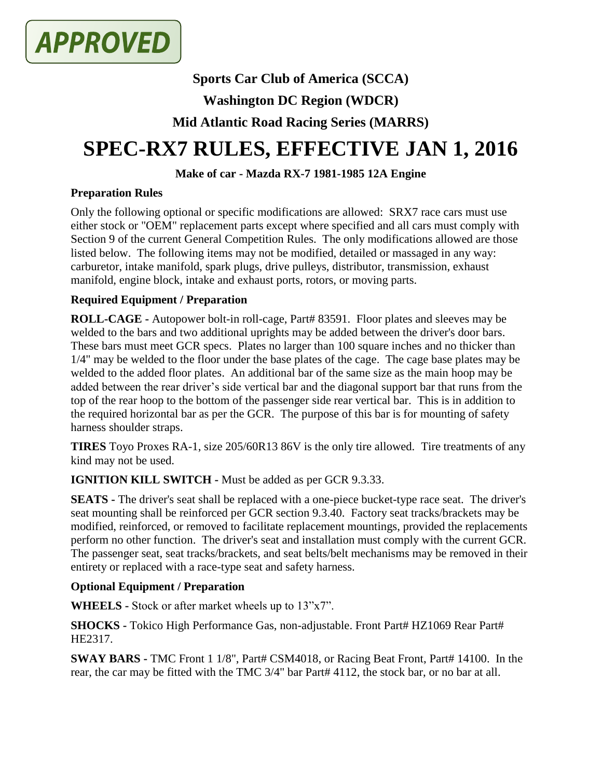

# **Sports Car Club of America (SCCA)**

# **Washington DC Region (WDCR)**

# **Mid Atlantic Road Racing Series (MARRS)**

# **SPEC-RX7 RULES, EFFECTIVE JAN 1, 2016**

### **Make of car - Mazda RX-7 1981-1985 12A Engine**

#### **Preparation Rules**

Only the following optional or specific modifications are allowed: SRX7 race cars must use either stock or "OEM" replacement parts except where specified and all cars must comply with Section 9 of the current General Competition Rules. The only modifications allowed are those listed below. The following items may not be modified, detailed or massaged in any way: carburetor, intake manifold, spark plugs, drive pulleys, distributor, transmission, exhaust manifold, engine block, intake and exhaust ports, rotors, or moving parts.

## **Required Equipment / Preparation**

**ROLL-CAGE -** Autopower bolt-in roll-cage, Part# 83591. Floor plates and sleeves may be welded to the bars and two additional uprights may be added between the driver's door bars. These bars must meet GCR specs. Plates no larger than 100 square inches and no thicker than 1/4" may be welded to the floor under the base plates of the cage. The cage base plates may be welded to the added floor plates. An additional bar of the same size as the main hoop may be added between the rear driver's side vertical bar and the diagonal support bar that runs from the top of the rear hoop to the bottom of the passenger side rear vertical bar. This is in addition to the required horizontal bar as per the GCR. The purpose of this bar is for mounting of safety harness shoulder straps.

**TIRES** Toyo Proxes RA-1, size 205/60R13 86V is the only tire allowed. Tire treatments of any kind may not be used.

**IGNITION KILL SWITCH -** Must be added as per GCR 9.3.33.

**SEATS -** The driver's seat shall be replaced with a one-piece bucket-type race seat. The driver's seat mounting shall be reinforced per GCR section 9.3.40. Factory seat tracks/brackets may be modified, reinforced, or removed to facilitate replacement mountings, provided the replacements perform no other function. The driver's seat and installation must comply with the current GCR. The passenger seat, seat tracks/brackets, and seat belts/belt mechanisms may be removed in their entirety or replaced with a race-type seat and safety harness.

#### **Optional Equipment / Preparation**

**WHEELS -** Stock or after market wheels up to 13"x7".

**SHOCKS -** Tokico High Performance Gas, non-adjustable. Front Part# HZ1069 Rear Part# HE2317.

**SWAY BARS -** TMC Front 1 1/8", Part# CSM4018, or Racing Beat Front, Part# 14100. In the rear, the car may be fitted with the TMC 3/4" bar Part# 4112, the stock bar, or no bar at all.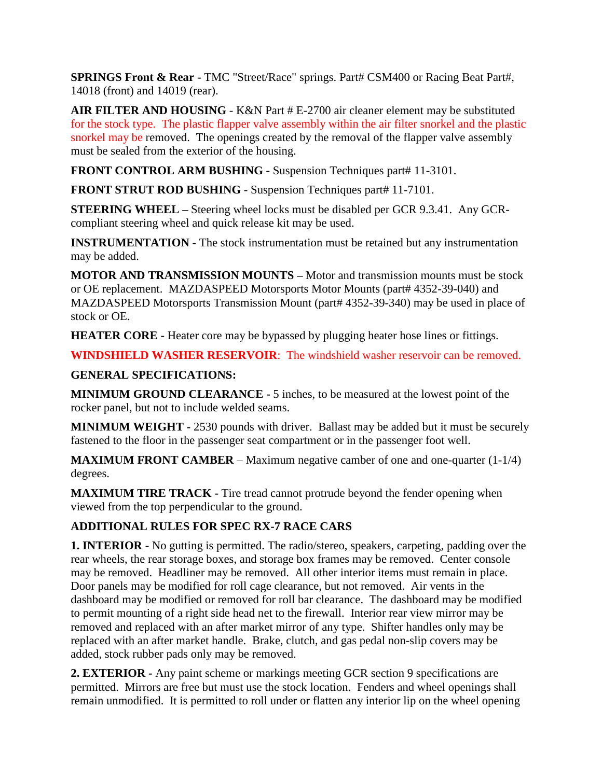**SPRINGS Front & Rear -** TMC "Street/Race" springs. Part# CSM400 or Racing Beat Part#, 14018 (front) and 14019 (rear).

**AIR FILTER AND HOUSING** - K&N Part # E-2700 air cleaner element may be substituted for the stock type. The plastic flapper valve assembly within the air filter snorkel and the plastic snorkel may be removed. The openings created by the removal of the flapper valve assembly must be sealed from the exterior of the housing.

**FRONT CONTROL ARM BUSHING -** Suspension Techniques part# 11-3101.

**FRONT STRUT ROD BUSHING** - Suspension Techniques part# 11-7101.

**STEERING WHEEL –** Steering wheel locks must be disabled per GCR 9.3.41. Any GCRcompliant steering wheel and quick release kit may be used.

**INSTRUMENTATION -** The stock instrumentation must be retained but any instrumentation may be added.

**MOTOR AND TRANSMISSION MOUNTS –** Motor and transmission mounts must be stock or OE replacement. MAZDASPEED Motorsports Motor Mounts (part# 4352-39-040) and MAZDASPEED Motorsports Transmission Mount (part# 4352-39-340) may be used in place of stock or OE.

**HEATER CORE -** Heater core may be bypassed by plugging heater hose lines or fittings.

**WINDSHIELD WASHER RESERVOIR**: The windshield washer reservoir can be removed.

## **GENERAL SPECIFICATIONS:**

**MINIMUM GROUND CLEARANCE -** 5 inches, to be measured at the lowest point of the rocker panel, but not to include welded seams.

**MINIMUM WEIGHT -** 2530 pounds with driver. Ballast may be added but it must be securely fastened to the floor in the passenger seat compartment or in the passenger foot well.

**MAXIMUM FRONT CAMBER** – Maximum negative camber of one and one-quarter (1-1/4) degrees.

**MAXIMUM TIRE TRACK -** Tire tread cannot protrude beyond the fender opening when viewed from the top perpendicular to the ground.

## **ADDITIONAL RULES FOR SPEC RX-7 RACE CARS**

**1. INTERIOR -** No gutting is permitted. The radio/stereo, speakers, carpeting*,* padding over the rear wheels, the rear storage boxes, and storage box frames may be removed. Center console may be removed. Headliner may be removed. All other interior items must remain in place. Door panels may be modified for roll cage clearance, but not removed. Air vents in the dashboard may be modified or removed for roll bar clearance. The dashboard may be modified to permit mounting of a right side head net to the firewall. Interior rear view mirror may be removed and replaced with an after market mirror of any type. Shifter handles only may be replaced with an after market handle. Brake, clutch, and gas pedal non-slip covers may be added, stock rubber pads only may be removed.

**2. EXTERIOR -** Any paint scheme or markings meeting GCR section 9 specifications are permitted. Mirrors are free but must use the stock location. Fenders and wheel openings shall remain unmodified. It is permitted to roll under or flatten any interior lip on the wheel opening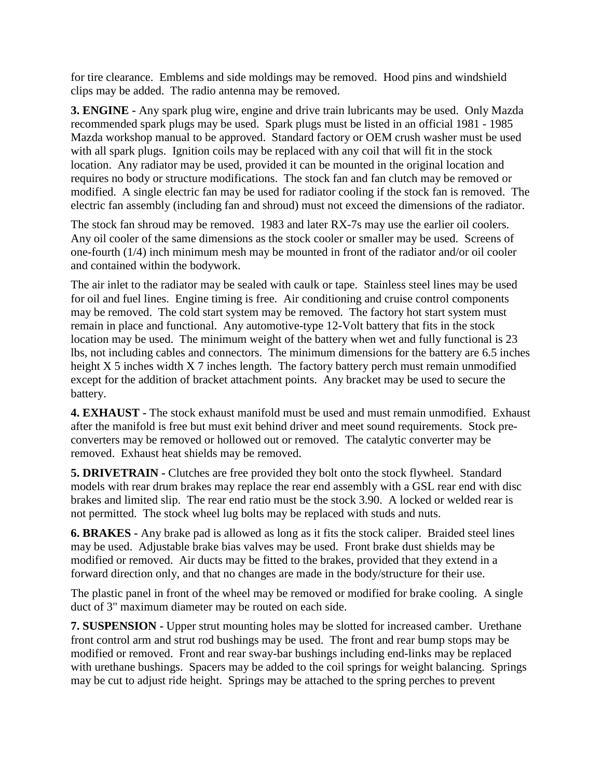for tire clearance. Emblems and side moldings may be removed. Hood pins and windshield clips may be added. The radio antenna may be removed.

**3. ENGINE -** Any spark plug wire, engine and drive train lubricants may be used. Only Mazda recommended spark plugs may be used. Spark plugs must be listed in an official 1981 - 1985 Mazda workshop manual to be approved. Standard factory or OEM crush washer must be used with all spark plugs. Ignition coils may be replaced with any coil that will fit in the stock location. Any radiator may be used, provided it can be mounted in the original location and requires no body or structure modifications. The stock fan and fan clutch may be removed or modified. A single electric fan may be used for radiator cooling if the stock fan is removed. The electric fan assembly (including fan and shroud) must not exceed the dimensions of the radiator.

The stock fan shroud may be removed. 1983 and later RX-7s may use the earlier oil coolers. Any oil cooler of the same dimensions as the stock cooler or smaller may be used. Screens of one-fourth (1/4) inch minimum mesh may be mounted in front of the radiator and/or oil cooler and contained within the bodywork.

The air inlet to the radiator may be sealed with caulk or tape. Stainless steel lines may be used for oil and fuel lines. Engine timing is free. Air conditioning and cruise control components may be removed. The cold start system may be removed. The factory hot start system must remain in place and functional. Any automotive-type 12-Volt battery that fits in the stock location may be used. The minimum weight of the battery when wet and fully functional is 23 lbs, not including cables and connectors. The minimum dimensions for the battery are 6.5 inches height X 5 inches width X 7 inches length. The factory battery perch must remain unmodified except for the addition of bracket attachment points. Any bracket may be used to secure the battery.

**4. EXHAUST -** The stock exhaust manifold must be used and must remain unmodified. Exhaust after the manifold is free but must exit behind driver and meet sound requirements. Stock preconverters may be removed or hollowed out or removed. The catalytic converter may be removed. Exhaust heat shields may be removed.

**5. DRIVETRAIN -** Clutches are free provided they bolt onto the stock flywheel. Standard models with rear drum brakes may replace the rear end assembly with a GSL rear end with disc brakes and limited slip. The rear end ratio must be the stock 3.90. A locked or welded rear is not permitted. The stock wheel lug bolts may be replaced with studs and nuts.

**6. BRAKES -** Any brake pad is allowed as long as it fits the stock caliper. Braided steel lines may be used. Adjustable brake bias valves may be used. Front brake dust shields may be modified or removed. Air ducts may be fitted to the brakes, provided that they extend in a forward direction only, and that no changes are made in the body/structure for their use.

The plastic panel in front of the wheel may be removed or modified for brake cooling. A single duct of 3" maximum diameter may be routed on each side.

**7. SUSPENSION -** Upper strut mounting holes may be slotted for increased camber. Urethane front control arm and strut rod bushings may be used. The front and rear bump stops may be modified or removed. Front and rear sway-bar bushings including end-links may be replaced with urethane bushings. Spacers may be added to the coil springs for weight balancing. Springs may be cut to adjust ride height. Springs may be attached to the spring perches to prevent